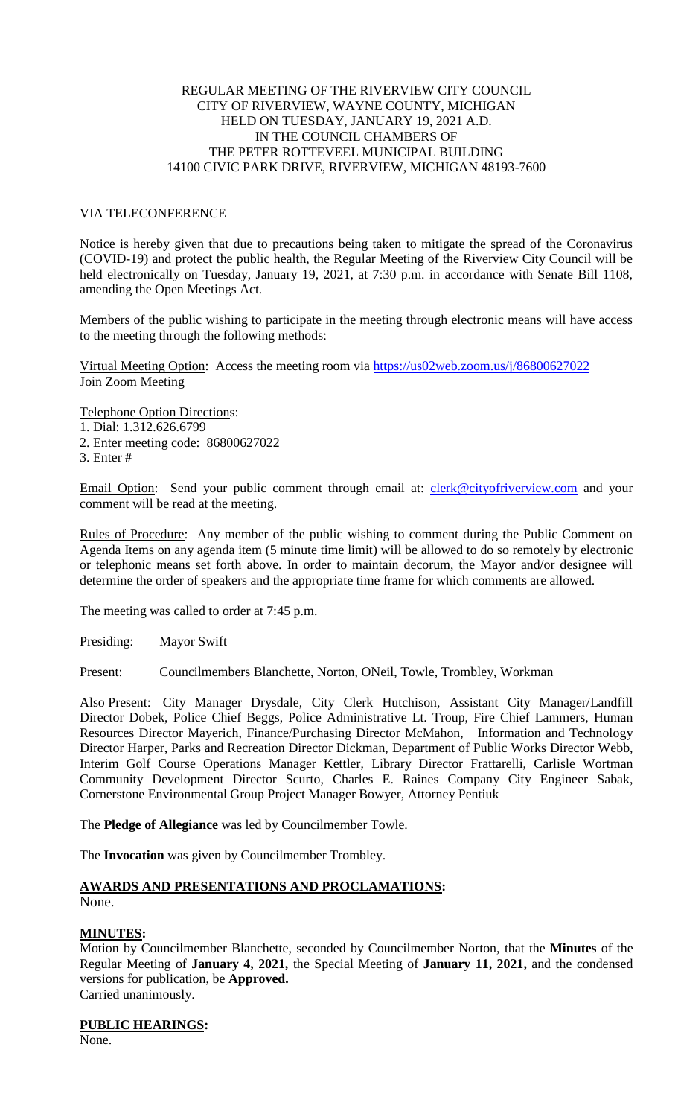### REGULAR MEETING OF THE RIVERVIEW CITY COUNCIL CITY OF RIVERVIEW, WAYNE COUNTY, MICHIGAN HELD ON TUESDAY, JANUARY 19, 2021 A.D. IN THE COUNCIL CHAMBERS OF THE PETER ROTTEVEEL MUNICIPAL BUILDING 14100 CIVIC PARK DRIVE, RIVERVIEW, MICHIGAN 48193-7600

# VIA TELECONFERENCE

Notice is hereby given that due to precautions being taken to mitigate the spread of the Coronavirus (COVID-19) and protect the public health, the Regular Meeting of the Riverview City Council will be held electronically on Tuesday, January 19, 2021, at 7:30 p.m. in accordance with Senate Bill 1108, amending the Open Meetings Act.

Members of the public wishing to participate in the meeting through electronic means will have access to the meeting through the following methods:

Virtual Meeting Option: Access the meeting room via [https://us02web.zoom.us/j/86800627022](https://www.google.com/url?q=https%3A%2F%2Fus02web.zoom.us%2Fj%2F86800627022%3Fpwd%3DWURGbzQrM0VPR3lqWVpOYmJmT3Jtdz09&sa=D&ust=1610815312171000&usg=AOvVaw2OfQUvKv_mZhlbjT1ebrT_) Join Zoom Meeting

Telephone Option Directions: 1. Dial: 1.312.626.6799 2. Enter meeting code: 86800627022

3. Enter **#**

Email Option: Send your public comment through email at: *clerk@cityofriverview.com* and your comment will be read at the meeting.

Rules of Procedure: Any member of the public wishing to comment during the Public Comment on Agenda Items on any agenda item (5 minute time limit) will be allowed to do so remotely by electronic or telephonic means set forth above. In order to maintain decorum, the Mayor and/or designee will determine the order of speakers and the appropriate time frame for which comments are allowed.

The meeting was called to order at 7:45 p.m.

Presiding: Mayor Swift

Present: Councilmembers Blanchette, Norton, ONeil, Towle, Trombley, Workman

Also Present: City Manager Drysdale, City Clerk Hutchison, Assistant City Manager/Landfill Director Dobek, Police Chief Beggs, Police Administrative Lt. Troup, Fire Chief Lammers, Human Resources Director Mayerich, Finance/Purchasing Director McMahon, Information and Technology Director Harper, Parks and Recreation Director Dickman, Department of Public Works Director Webb, Interim Golf Course Operations Manager Kettler, Library Director Frattarelli, Carlisle Wortman Community Development Director Scurto, Charles E. Raines Company City Engineer Sabak, Cornerstone Environmental Group Project Manager Bowyer, Attorney Pentiuk

The **Pledge of Allegiance** was led by Councilmember Towle.

The **Invocation** was given by Councilmember Trombley.

# **AWARDS AND PRESENTATIONS AND PROCLAMATIONS:**

```
None.
```
# **MINUTES:**

Motion by Councilmember Blanchette, seconded by Councilmember Norton, that the **Minutes** of the Regular Meeting of **January 4, 2021,** the Special Meeting of **January 11, 2021,** and the condensed versions for publication, be **Approved.** Carried unanimously.

**PUBLIC HEARINGS:**

None.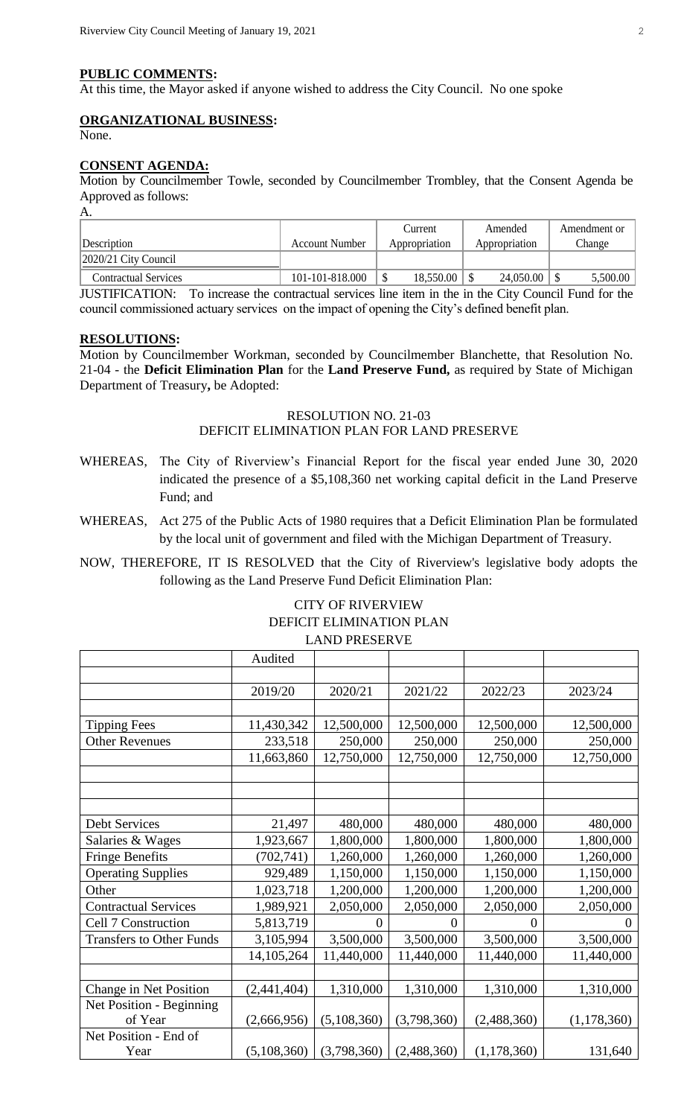#### **PUBLIC COMMENTS:**

At this time, the Mayor asked if anyone wished to address the City Council. No one spoke

### **ORGANIZATIONAL BUSINESS:**

None.

#### **CONSENT AGENDA:**

Motion by Councilmember Towle, seconded by Councilmember Trombley, that the Consent Agenda be Approved as follows:

| А.                          |                       |               |               |              |
|-----------------------------|-----------------------|---------------|---------------|--------------|
|                             |                       | Current       | Amended       | Amendment or |
| Description                 | <b>Account Number</b> | Appropriation | Appropriation | Change       |
| $ 2020/21$ City Council     |                       |               |               |              |
| <b>Contractual Services</b> | 101-101-818.000       | 18,550.00     | 24,050.00     | 5,500.00     |

JUSTIFICATION: To increase the contractual services line item in the in the City Council Fund for the council commissioned actuary services on the impact of opening the City's defined benefit plan.

### **RESOLUTIONS:**

Motion by Councilmember Workman, seconded by Councilmember Blanchette, that Resolution No. 21-04 - the **Deficit Elimination Plan** for the **Land Preserve Fund,** as required by State of Michigan Department of Treasury**,** be Adopted:

# RESOLUTION NO. 21-03 DEFICIT ELIMINATION PLAN FOR LAND PRESERVE

- WHEREAS, The City of Riverview's Financial Report for the fiscal year ended June 30, 2020 indicated the presence of a \$5,108,360 net working capital deficit in the Land Preserve Fund; and
- WHEREAS, Act 275 of the Public Acts of 1980 requires that a Deficit Elimination Plan be formulated by the local unit of government and filed with the Michigan Department of Treasury.
- NOW, THEREFORE, IT IS RESOLVED that the City of Riverview's legislative body adopts the following as the Land Preserve Fund Deficit Elimination Plan:

# CITY OF RIVERVIEW DEFICIT ELIMINATION PLAN LAND PRESERVE

|                                 | Audited     |                |             |               |               |
|---------------------------------|-------------|----------------|-------------|---------------|---------------|
|                                 |             |                |             |               |               |
|                                 | 2019/20     | 2020/21        | 2021/22     | 2022/23       | 2023/24       |
|                                 |             |                |             |               |               |
| <b>Tipping Fees</b>             | 11,430,342  | 12,500,000     | 12,500,000  | 12,500,000    | 12,500,000    |
| <b>Other Revenues</b>           | 233,518     | 250,000        | 250,000     | 250,000       | 250,000       |
|                                 | 11,663,860  | 12,750,000     | 12,750,000  | 12,750,000    | 12,750,000    |
|                                 |             |                |             |               |               |
|                                 |             |                |             |               |               |
|                                 |             |                |             |               |               |
| <b>Debt Services</b>            | 21,497      | 480,000        | 480,000     | 480,000       | 480,000       |
| Salaries & Wages                | 1,923,667   | 1,800,000      | 1,800,000   | 1,800,000     | 1,800,000     |
| <b>Fringe Benefits</b>          | (702, 741)  | 1,260,000      | 1,260,000   | 1,260,000     | 1,260,000     |
| <b>Operating Supplies</b>       | 929,489     | 1,150,000      | 1,150,000   | 1,150,000     | 1,150,000     |
| Other                           | 1,023,718   | 1,200,000      | 1,200,000   | 1,200,000     | 1,200,000     |
| <b>Contractual Services</b>     | 1,989,921   | 2,050,000      | 2,050,000   | 2,050,000     | 2,050,000     |
| Cell 7 Construction             | 5,813,719   | $\overline{0}$ | $\theta$    | 0             | $\theta$      |
| <b>Transfers to Other Funds</b> | 3,105,994   | 3,500,000      | 3,500,000   | 3,500,000     | 3,500,000     |
|                                 | 14,105,264  | 11,440,000     | 11,440,000  | 11,440,000    | 11,440,000    |
|                                 |             |                |             |               |               |
| Change in Net Position          | (2,441,404) | 1,310,000      | 1,310,000   | 1,310,000     | 1,310,000     |
| Net Position - Beginning        |             |                |             |               |               |
| of Year                         | (2,666,956) | (5,108,360)    | (3,798,360) | (2,488,360)   | (1, 178, 360) |
| Net Position - End of           |             |                |             |               |               |
| Year                            | (5,108,360) | (3,798,360)    | (2,488,360) | (1, 178, 360) | 131,640       |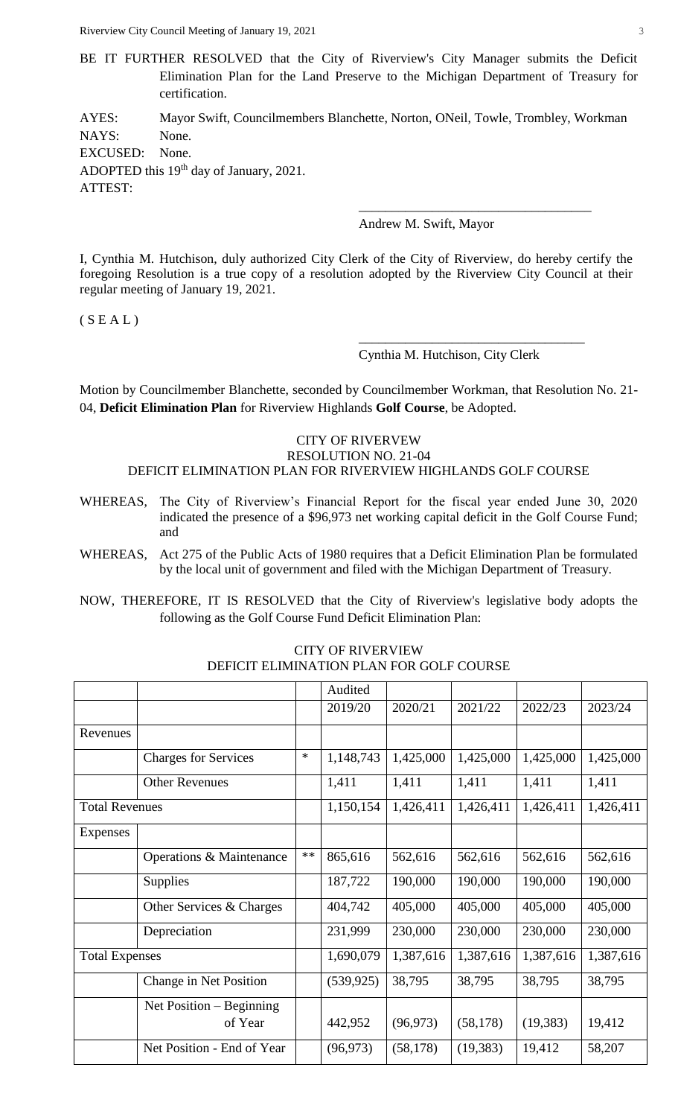Riverview City Council Meeting of January 19, 2021 3

BE IT FURTHER RESOLVED that the City of Riverview's City Manager submits the Deficit Elimination Plan for the Land Preserve to the Michigan Department of Treasury for certification.

AYES: Mayor Swift, Councilmembers Blanchette, Norton, ONeil, Towle, Trombley, Workman NAYS: None. EXCUSED: None. ADOPTED this 19<sup>th</sup> day of January, 2021. ATTEST: \_\_\_\_\_\_\_\_\_\_\_\_\_\_\_\_\_\_\_\_\_\_\_\_\_\_\_\_\_\_\_\_\_\_\_

Andrew M. Swift, Mayor

I, Cynthia M. Hutchison, duly authorized City Clerk of the City of Riverview, do hereby certify the foregoing Resolution is a true copy of a resolution adopted by the Riverview City Council at their regular meeting of January 19, 2021.

 $(S E A L)$ 

Cynthia M. Hutchison, City Clerk

\_\_\_\_\_\_\_\_\_\_\_\_\_\_\_\_\_\_\_\_\_\_\_\_\_\_\_\_\_\_\_\_\_\_

Motion by Councilmember Blanchette, seconded by Councilmember Workman, that Resolution No. 21- 04, **Deficit Elimination Plan** for Riverview Highlands **Golf Course**, be Adopted.

#### CITY OF RIVERVEW RESOLUTION NO. 21-04 DEFICIT ELIMINATION PLAN FOR RIVERVIEW HIGHLANDS GOLF COURSE

- WHEREAS, The City of Riverview's Financial Report for the fiscal year ended June 30, 2020 indicated the presence of a \$96,973 net working capital deficit in the Golf Course Fund; and
- WHEREAS, Act 275 of the Public Acts of 1980 requires that a Deficit Elimination Plan be formulated by the local unit of government and filed with the Michigan Department of Treasury.
- NOW, THEREFORE, IT IS RESOLVED that the City of Riverview's legislative body adopts the following as the Golf Course Fund Deficit Elimination Plan:

|                       |                             |        | Audited    |           |           |           |           |
|-----------------------|-----------------------------|--------|------------|-----------|-----------|-----------|-----------|
|                       |                             |        | 2019/20    | 2020/21   | 2021/22   | 2022/23   | 2023/24   |
| Revenues              |                             |        |            |           |           |           |           |
|                       | <b>Charges for Services</b> | $\ast$ | 1,148,743  | 1,425,000 | 1,425,000 | 1,425,000 | 1,425,000 |
|                       | <b>Other Revenues</b>       |        | 1,411      | 1,411     | 1,411     | 1,411     | 1,411     |
| <b>Total Revenues</b> |                             |        | 1,150,154  | 1,426,411 | 1,426,411 | 1,426,411 | 1,426,411 |
| Expenses              |                             |        |            |           |           |           |           |
|                       | Operations & Maintenance    | $**$   | 865,616    | 562,616   | 562,616   | 562,616   | 562,616   |
|                       | <b>Supplies</b>             |        | 187,722    | 190,000   | 190,000   | 190,000   | 190,000   |
|                       | Other Services & Charges    |        | 404,742    | 405,000   | 405,000   | 405,000   | 405,000   |
|                       | Depreciation                |        | 231,999    | 230,000   | 230,000   | 230,000   | 230,000   |
| <b>Total Expenses</b> |                             |        | 1,690,079  | 1,387,616 | 1,387,616 | 1,387,616 | 1,387,616 |
|                       | Change in Net Position      |        | (539, 925) | 38,795    | 38,795    | 38,795    | 38,795    |
|                       | Net Position $-$ Beginning  |        |            |           |           |           |           |
|                       | of Year                     |        | 442,952    | (96, 973) | (58, 178) | (19, 383) | 19,412    |
|                       | Net Position - End of Year  |        | (96, 973)  | (58, 178) | (19, 383) | 19,412    | 58,207    |

CITY OF RIVERVIEW DEFICIT ELIMINATION PLAN FOR GOLF COURSE